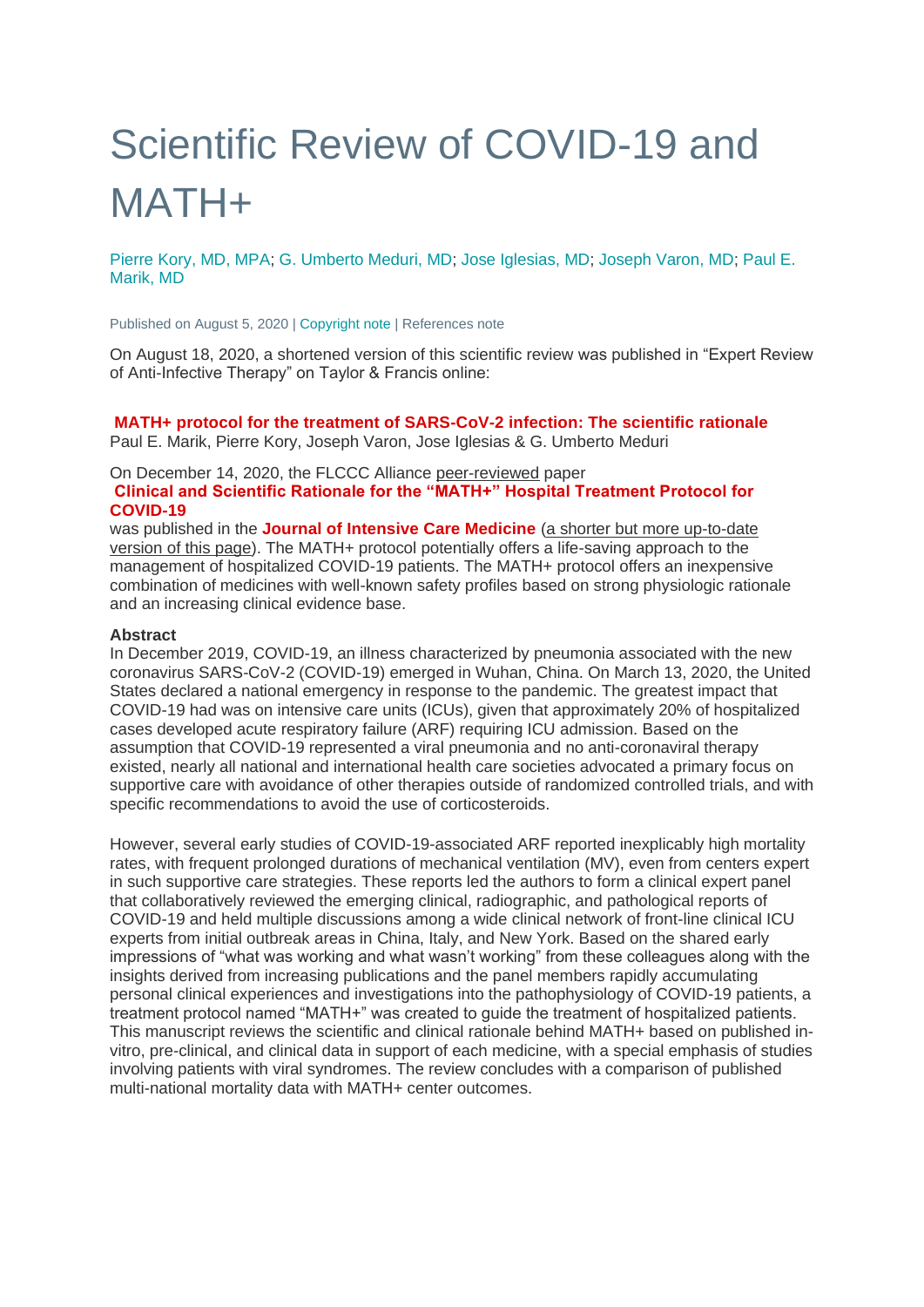# Scientific Review of COVID-19 and MATH+

[Pierre Kory, MD, MPA;](https://covid19criticalcare.com/about/the-flccc-physicians/) [G. Umberto Meduri, MD;](https://covid19criticalcare.com/about/the-flccc-physicians/) [Jose Iglesias, MD;](https://covid19criticalcare.com/about/the-flccc-physicians/) [Joseph Varon, MD;](https://covid19criticalcare.com/about/the-flccc-physicians/) [Paul E.](https://covid19criticalcare.com/about/the-flccc-physicians/)  [Marik, MD](https://covid19criticalcare.com/about/the-flccc-physicians/)

Published on August 5, 2020 | [Copyright note](https://covid19criticalcare.com/math-hospital-treatment/scientific-review-of-covid-19-and-math-plus/#scientific_review_mathplus_copyright) | References note

On August 18, 2020, a shortened version of this scientific review was published in "Expert Review of Anti-Infective Therapy" on Taylor & Francis online:

#### **[MATH+ protocol for the treatment of SARS-CoV-2 infection: The scientific rationale](https://covid19criticalcare.com/math-protocol-for-the-treatment-of-sars-cov-2-infection-the-scientific-rationale/)**

Paul E. Marik, Pierre Kory, Joseph Varon, Jose Iglesias & G. Umberto Meduri

#### On December 14, 2020, the FLCCC Alliance peer-reviewed paper **[Clinical and Scientific Rationale for the "MATH+" Hospital Treatment Protocol for](https://covid19criticalcare.com/math-plus-rationale-journal-of-intensive-care-medicine-dec2020/)  [COVID-19](https://covid19criticalcare.com/math-plus-rationale-journal-of-intensive-care-medicine-dec2020/)**

was published in the **[Journal of Intensive Care Medicine](https://journals.sagepub.com/doi/10.1177/0885066620973585)** (a shorter but more up-to-date version of this page). The MATH+ protocol potentially offers a life-saving approach to the management of hospitalized COVID-19 patients. The MATH+ protocol offers an inexpensive combination of medicines with well-known safety profiles based on strong physiologic rationale and an increasing clinical evidence base.

#### **Abstract**

In December 2019, COVID-19, an illness characterized by pneumonia associated with the new coronavirus SARS-CoV-2 (COVID-19) emerged in Wuhan, China. On March 13, 2020, the United States declared a national emergency in response to the pandemic. The greatest impact that COVID-19 had was on intensive care units (ICUs), given that approximately 20% of hospitalized cases developed acute respiratory failure (ARF) requiring ICU admission. Based on the assumption that COVID-19 represented a viral pneumonia and no anti-coronaviral therapy existed, nearly all national and international health care societies advocated a primary focus on supportive care with avoidance of other therapies outside of randomized controlled trials, and with specific recommendations to avoid the use of corticosteroids.

However, several early studies of COVID-19-associated ARF reported inexplicably high mortality rates, with frequent prolonged durations of mechanical ventilation (MV), even from centers expert in such supportive care strategies. These reports led the authors to form a clinical expert panel that collaboratively reviewed the emerging clinical, radiographic, and pathological reports of COVID-19 and held multiple discussions among a wide clinical network of front-line clinical ICU experts from initial outbreak areas in China, Italy, and New York. Based on the shared early impressions of "what was working and what wasn't working" from these colleagues along with the insights derived from increasing publications and the panel members rapidly accumulating personal clinical experiences and investigations into the pathophysiology of COVID-19 patients, a treatment protocol named "MATH+" was created to guide the treatment of hospitalized patients. This manuscript reviews the scientific and clinical rationale behind MATH+ based on published invitro, pre-clinical, and clinical data in support of each medicine, with a special emphasis of studies involving patients with viral syndromes. The review concludes with a comparison of published multi-national mortality data with MATH+ center outcomes.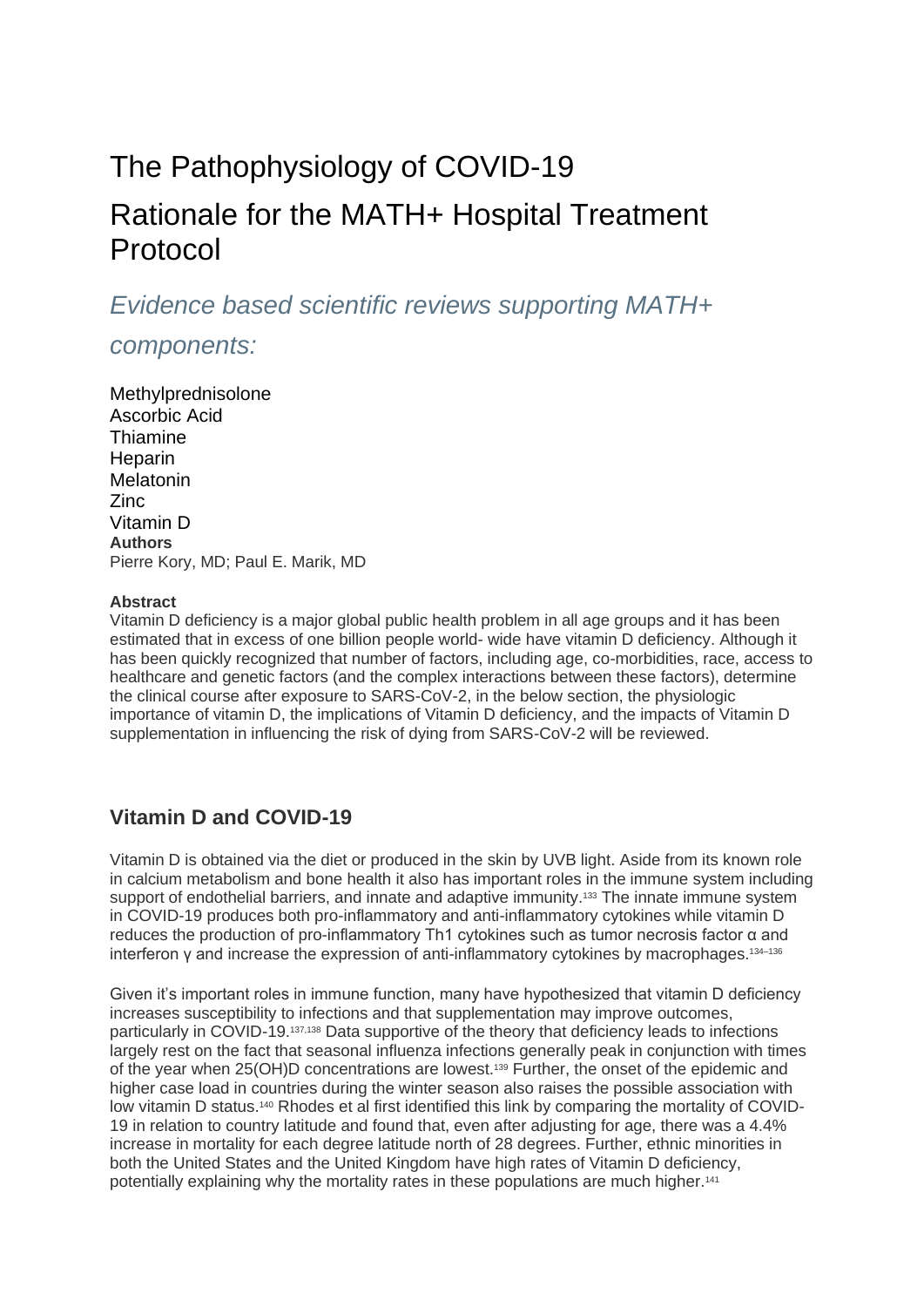# The [Pathophysiology](https://covid19criticalcare.com/math-hospital-treatment/scientific-review-of-covid-19-and-math-plus/#1596268388654-9a74b3df-0572) of COVID-19 Rationale for the MATH+ Hospital [Treatment](https://covid19criticalcare.com/math-hospital-treatment/scientific-review-of-covid-19-and-math-plus/#1596274738661-673bb2d7-d551) [Protocol](https://covid19criticalcare.com/math-hospital-treatment/scientific-review-of-covid-19-and-math-plus/#1596274738661-673bb2d7-d551)

*Evidence based scientific reviews supporting MATH+* 

## *components:*

[Methylprednisolone](https://covid19criticalcare.com/math-hospital-treatment/scientific-review-of-covid-19-and-math-plus/#1596271950214-1512f39a-55c8) [Ascorbic](https://covid19criticalcare.com/math-hospital-treatment/scientific-review-of-covid-19-and-math-plus/#1596273270821-278f6d91-abca) Acid [Thiamine](https://covid19criticalcare.com/math-hospital-treatment/scientific-review-of-covid-19-and-math-plus/#1596373966697-ed8e822f-c48b) [Heparin](https://covid19criticalcare.com/math-hospital-treatment/scientific-review-of-covid-19-and-math-plus/#1596388398786-5ae3e736-78cc) [Melatonin](https://covid19criticalcare.com/math-hospital-treatment/scientific-review-of-covid-19-and-math-plus/#1596439772833-6ce97854-a5d3) [Zinc](https://covid19criticalcare.com/math-hospital-treatment/scientific-review-of-covid-19-and-math-plus/#1596440026232-a78b4abf-281e) [Vitamin](https://covid19criticalcare.com/math-hospital-treatment/scientific-review-of-covid-19-and-math-plus/#1596440244108-d8b80308-7918) D **Authors** Pierre Kory, MD; Paul E. Marik, MD

#### **Abstract**

Vitamin D deficiency is a major global public health problem in all age groups and it has been estimated that in excess of one billion people world- wide have vitamin D deficiency. Although it has been quickly recognized that number of factors, including age, co-morbidities, race, access to healthcare and genetic factors (and the complex interactions between these factors), determine the clinical course after exposure to SARS-CoV-2, in the below section, the physiologic importance of vitamin D, the implications of Vitamin D deficiency, and the impacts of Vitamin D supplementation in influencing the risk of dying from SARS-CoV-2 will be reviewed.

## **Vitamin D and COVID-19**

Vitamin D is obtained via the diet or produced in the skin by UVB light. Aside from its known role in calcium metabolism and bone health it also has important roles in the immune system including support of endothelial barriers, and innate and adaptive immunity.<sup>133</sup> The innate immune system in COVID-19 produces both pro-inflammatory and anti-inflammatory cytokines while vitamin D reduces the production of pro-inflammatory Th1 cytokines such as tumor necrosis factor α and interferon y and increase the expression of anti-inflammatory cytokines by macrophages.<sup>134–136</sup>

Given it's important roles in immune function, many have hypothesized that vitamin D deficiency increases susceptibility to infections and that supplementation may improve outcomes, particularly in COVID-19.137,138 Data supportive of the theory that deficiency leads to infections largely rest on the fact that seasonal influenza infections generally peak in conjunction with times of the year when 25(OH)D concentrations are lowest.<sup>139</sup> Further, the onset of the epidemic and higher case load in countries during the winter season also raises the possible association with low vitamin D status.<sup>140</sup> Rhodes et al first identified this link by comparing the mortality of COVID-19 in relation to country latitude and found that, even after adjusting for age, there was a 4.4% increase in mortality for each degree latitude north of 28 degrees. Further, ethnic minorities in both the United States and the United Kingdom have high rates of Vitamin D deficiency, potentially explaining why the mortality rates in these populations are much higher.141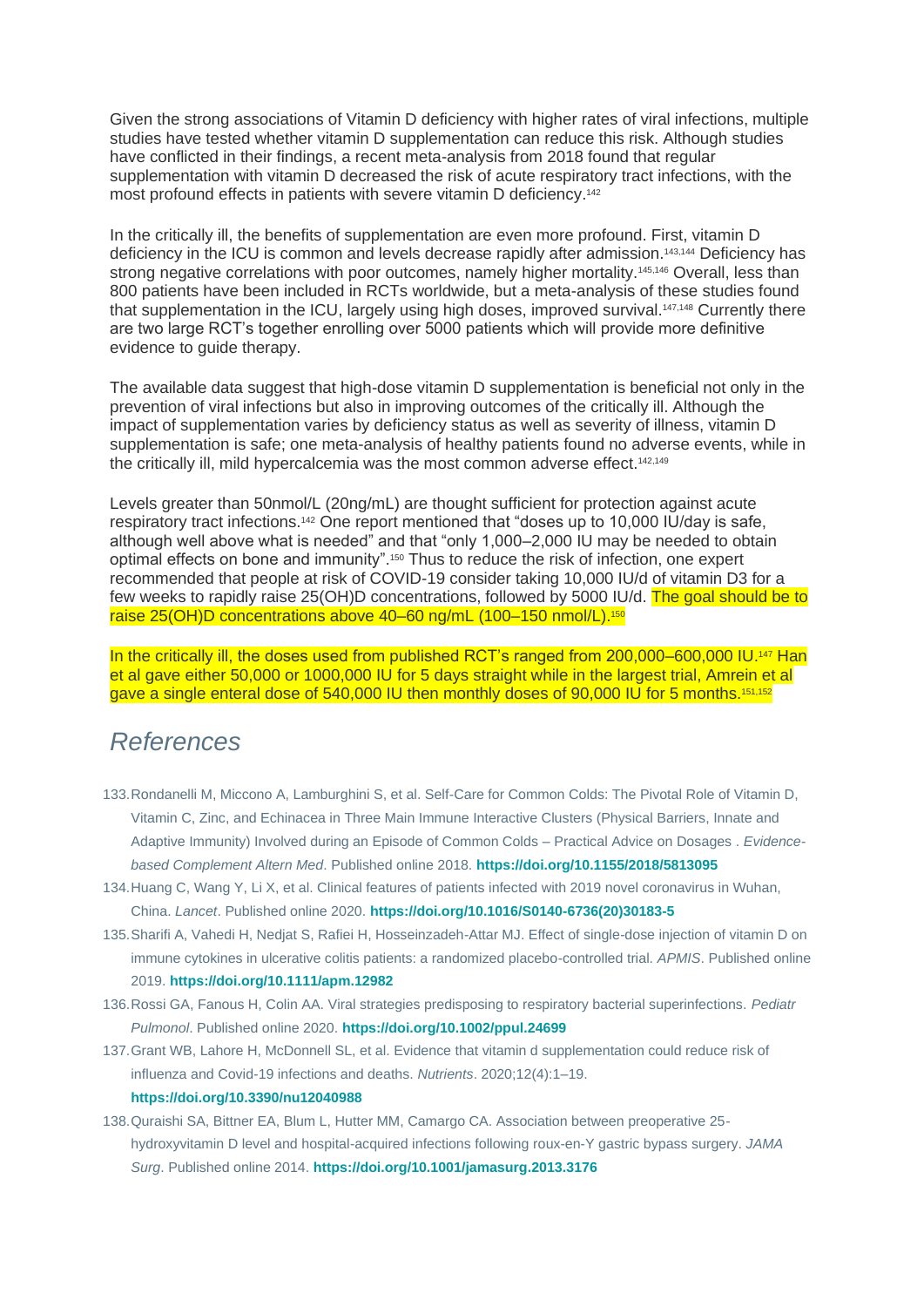Given the strong associations of Vitamin D deficiency with higher rates of viral infections, multiple studies have tested whether vitamin D supplementation can reduce this risk. Although studies have conflicted in their findings, a recent meta-analysis from 2018 found that regular supplementation with vitamin D decreased the risk of acute respiratory tract infections, with the most profound effects in patients with severe vitamin D deficiency.<sup>142</sup>

In the critically ill, the benefits of supplementation are even more profound. First, vitamin D deficiency in the ICU is common and levels decrease rapidly after admission.<sup>143,144</sup> Deficiency has strong negative correlations with poor outcomes, namely higher mortality.<sup>145,146</sup> Overall, less than 800 patients have been included in RCTs worldwide, but a meta-analysis of these studies found that supplementation in the ICU, largely using high doses, improved survival.147,148 Currently there are two large RCT's together enrolling over 5000 patients which will provide more definitive evidence to guide therapy.

The available data suggest that high-dose vitamin D supplementation is beneficial not only in the prevention of viral infections but also in improving outcomes of the critically ill. Although the impact of supplementation varies by deficiency status as well as severity of illness, vitamin D supplementation is safe; one meta-analysis of healthy patients found no adverse events, while in the critically ill, mild hypercalcemia was the most common adverse effect.142,149

Levels greater than 50nmol/L (20ng/mL) are thought sufficient for protection against acute respiratory tract infections.<sup>142</sup> One report mentioned that "doses up to 10,000 IU/day is safe, although well above what is needed" and that "only 1,000–2,000 IU may be needed to obtain optimal effects on bone and immunity".<sup>150</sup> Thus to reduce the risk of infection, one expert recommended that people at risk of COVID-19 consider taking 10,000 IU/d of vitamin D3 for a few weeks to rapidly raise 25(OH)D concentrations, followed by 5000 IU/d. The goal should be to raise 25(OH)D concentrations above 40-60 ng/mL (100-150 nmol/L).<sup>150</sup>

In the critically ill, the doses used from published RCT's ranged from 200,000–600,000 IU.<sup>147</sup> Han et al gave either 50,000 or 1000,000 IU for 5 days straight while in the largest trial, Amrein et al gave a single enteral dose of 540,000 IU then monthly doses of 90,000 IU for 5 months.151,152

# *References*

- 133.Rondanelli M, Miccono A, Lamburghini S, et al. Self-Care for Common Colds: The Pivotal Role of Vitamin D, Vitamin C, Zinc, and Echinacea in Three Main Immune Interactive Clusters (Physical Barriers, Innate and Adaptive Immunity) Involved during an Episode of Common Colds – Practical Advice on Dosages . *Evidencebased Complement Altern Med*. Published online 2018. **<https://doi.org/10.1155/2018/5813095>**
- 134.Huang C, Wang Y, Li X, et al. Clinical features of patients infected with 2019 novel coronavirus in Wuhan, China. *Lancet*. Published online 2020. **[https://doi.org/10.1016/S0140-6736\(20\)30183-5](https://doi.org/10.1016/S0140-6736(20)30183-5)**
- 135.Sharifi A, Vahedi H, Nedjat S, Rafiei H, Hosseinzadeh-Attar MJ. Effect of single-dose injection of vitamin D on immune cytokines in ulcerative colitis patients: a randomized placebo-controlled trial. *APMIS*. Published online 2019. **<https://doi.org/10.1111/apm.12982>**
- 136.Rossi GA, Fanous H, Colin AA. Viral strategies predisposing to respiratory bacterial superinfections. *Pediatr Pulmonol*. Published online 2020. **<https://doi.org/10.1002/ppul.24699>**
- 137.Grant WB, Lahore H, McDonnell SL, et al. Evidence that vitamin d supplementation could reduce risk of influenza and Covid-19 infections and deaths. *Nutrients*. 2020;12(4):1–19. **<https://doi.org/10.3390/nu12040988>**
- 138.Quraishi SA, Bittner EA, Blum L, Hutter MM, Camargo CA. Association between preoperative 25 hydroxyvitamin D level and hospital-acquired infections following roux-en-Y gastric bypass surgery. *JAMA Surg*. Published online 2014. **<https://doi.org/10.1001/jamasurg.2013.3176>**